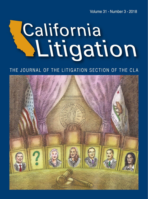Volume 31 • Number 3 • 2018

# California Mutigation

### THE JOURNAL OF THE LITIGATION SECTION OF THE CLA

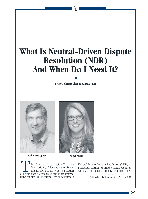## **What Is Neutral-Driven Dispute Resolution (NDR) And When Do I Need It?**

**By Rob Christopher & Sonya Sigler**





**Rob Christopher Sonya Sigler**

he face of Alternative Dispute Resolution (ADR) has been changing in recent years with the addition of online dispute resolution and other innovations for use by litigators. One innovation is

Neutral-Driven Dispute Resolution (NDR), a potential solution for limited stakes disputes which, if not settled quickly, will cost more

**California Litigation** Vol. 31 • No. 3 • 2018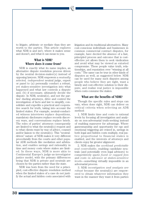to litigate, arbitrate or mediate than they are worth to the parties. This article explores what NDR is and isn't, where it makes sense and doesn't, and what it can mean to you.

#### **What is NDR? Where does it come from?**

NDR is exactly what its name implies, an alternative dispute resolution process driven by the neutral decision-maker(s) instead of opposing lawyers. NDR empowers a *mutually selected, independent* neutral judge, expert or panel to (a) personally conduct a robust, yet stakes-sensitive investigation into what happened and what law controls a dispute and, (b) if necessary, ultimately decide the dispute. In NDR, neutral(s), and not the parties' dueling attorneys, drive and control the investigation of facts and law to simplify, consolidate and expedite a practical and cooperative search for truth, taking into account the limited stakes. For example, neutral-conducted witness interviews replace depositions, mandatory disclosures replace records discovery wars, and conversations replace briefs. The roles of parties' attorneys consequently are limited to what the neutral(s) request and to what clients want by way of advice, counsel and/or liaison to the neutral(s). This "neutraldriven" nature of NDR makes it very different procedurally from the courts and other popular ADR methods like mediation and arbitration, and enables savings and rationality in time and money costs where stakes are limited. In these ways, NDR is more akin to Continental Europe's judge-as-investigator justice model, with the primary differences being that NDR is private and neutrals are chosen by the parties rather than the state.

NDR was born from the need for a principled, cost-effective dispute resolution method when the limited stakes of a case do not justify the actual and hidden costs associated with litigation and its traditional alternatives. Many cost-conscious individuals and businesses in common commercial contract disputes, for example, have decried the absence of a fast, principled process and outcome that is costeffective yet allows them to seek vindication and avoid what may be viewed as extorted compromise. These people value truth, relationships, and reputation over "winning at all costs." The same can be true in other kinds of disputes as well, as suggested below. NDR can be used for many such disputes among people who believe they are right, want a timely and cost-effective solution to their dispute, and realize real justice is impossible when costs consume the stakes.

#### **What are the benefits of NDR?**

Though the specific rules and steps can vary, when done right, NDR can deliver on critical criteria when selecting an ADR method:

1. NDR limits time and costs to rational levels by focusing all investigation and analysis on non-adversarial truth-seeking instead of enabling maneuver for advantage. Where gamesmanship and opportunity for ego and emotional triggering are reined in, savings in both legal and hidden costs multiply, real justice proportional to financial stakes is enabled, and the interests of attorneys and clients enjoy far greater alignment.

2. NDR makes the *workload predictable and controllable*, enabling candidate neutrals (and potentially even legal advisors) to competitively quote *fixed or capped fees* and *costs in advance at stakes-sensitive levels—*something virtually impossible in an adversarial process.

3. NDR *investigation and analysis are robust* because the neutral(s) are empowered to obtain whatever information they want in the manner they want it from parties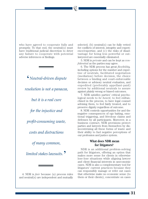who have agreed to cooperate fully and promptly. To that end, the neutral(s) must have traditional judicial discretion to deter any failure to cooperate with potential adverse inferences or findings.

> '*Neutral-driven dispute resolution is not a panacea, but it is a real cure for the injustice and profit-consuming waste, costs and distractions of many common, limited stakes lawsuits.*'

4. NDR is *fair* because (a) process rules and neutral(s) are independent and mutually selected, (b) neutral(s) can be fully vetted for conflicts of interest, integrity and experience/expertise, and (c) the risks of disadvantage for being less powerful or outlawyered are essentially eliminated.

5. NDR is *private* and can be kept as *confidential* as the parties may agree.

6. The NDR process has great *flexibility,* including options for the number and expertise of neutrals, facilitated negotiation (mediation) before decision, the choice between a binding and court-enforceable decision or advisory neutral evaluation, and expedited (preferably appellant-paid) review by additional neutrals to assure against plainly wrong or biased outcomes.

7. NDR satisfies parties' critical psychological needs to *be heard*, to feel enfranchised in the process, to have legal counsel advising them, to feel fairly treated, and to preserve dignity regardless of outcome.

8. NDR controls opportunities for and the negative consequences of ego baiting, emotional triggering, and frivolous claims and defenses by all participants. Moreover, in a business contract, NDR provisions protect parties and lawyers from themselves by disincentivizing all these forms of waste and their ability to fuel negative perceptions of our profession and justice system.

#### **What does NDR mean for litigators?**

NDR is an additional problem-solving path for litigators, offering an option that makes more sense for clients in otherwise lose-lose situations while aligning lawyer and client financial interests in uneconomic cases. NDR is also a complementary tool for litigators' current practices because they can responsibly manage or refer out cases that otherwise make no economic sense (to them or their clients), concentrate on cases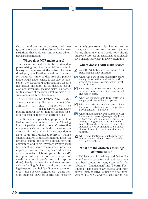that do make economic sense, and earn greater client trust and loyalty for high stakes situations that truly warrant zealous adversarial representation.

#### **Where does NDR make sense?**

NDR can be ideal for limited stakes disputes arising out of commercial contracts. It is easy to implement at the outset of a relationship by specification in written contracts for whatever range of disputes the parties agree would make sense. It can also be chosen by the parties and counsel after a dispute has arisen, although mutual distrust, suspicion and advantage-seeking make it a harder mutual choice at that point. Following is a nofrills sample NDR contract clause:

"DISPUTE RESOLUTION. The parties agree to submit any dispute arising out of or relating to this Agreement to \_\_\_\_\_\_\_\_\_\_\_\_\_\_\_\_ [NDR service provider] for binding neutral-driven, non-adversarial resolution according to its then-current rules."

NDR may be especially appropriate in limited stakes disputes involving the following kinds of parties and situations: Construction companies (where time is dear, margins are already thin, and time is of the essence due to risks of domino delays), realtors (where claimed failures to disclose material facts vex brokers, sellers and buyers alike), start-up companies and their investors (where legal fees spent on disputes can waste precious capital), commercial buyers and sellers (where valuable relationships can be saved), independent service contractors (where small disputes kill profits and ruin reputations), family partnerships and small estates (where feuding families spend the corpus on legal expense and holiday dinners change forever), cross-border transactions (where foreign business partners loathe the hostility and costly gamesmanship of American justice), and insurers and insureds (where faster, cheaper claims resolutions should improve customer satisfaction and ultimately save billions nationally in lower premiums).

#### **Where doesn't NDR make sense?**

- $\blacktriangledown$  As with Arbitration and Mediation, NDR is not right for some situations:
- When the parties can voluntarily share enough information and settle, with or without the help of lawyers, before initiating legal action.  $\vert\bm{\mathcal{V}}\vert$
- $\blacktriangleright$  When stakes are so high that the adversarial process is worth its many actual and hidden costs.
- When an indispensable third party or a nonparty witness will not cooperate.  $\boldsymbol{V}$
- $\blacktriangleright$  When immediate equitable relief—like a temporary restraining order or preliminary injunction—is needed.
- When one side simply won't agree to NDR for whatever reason(s)—especially likely in tort and other claims between or among strangers and any relationshipbased claims where one side is inherently suspicious (or counseled to be suspicious) of anything the other side might suggest.  $|{\boldsymbol{V}}|$
- $\blacktriangledown$  When considerations of public policy prevent otherwise willing parties from effectively agreeing to it.

#### **What are the obstacles to using/ adopting NDR?**

NDR isn't used in a widespread fashion for limited stakes cases even though variations have been around for many years under the rubrics of "Ombudsmen" and "Neutral-Fact-Finding." The reasons are several and interactive. First, creative, outside-the-box innovations like NDR, and the large gap in civil